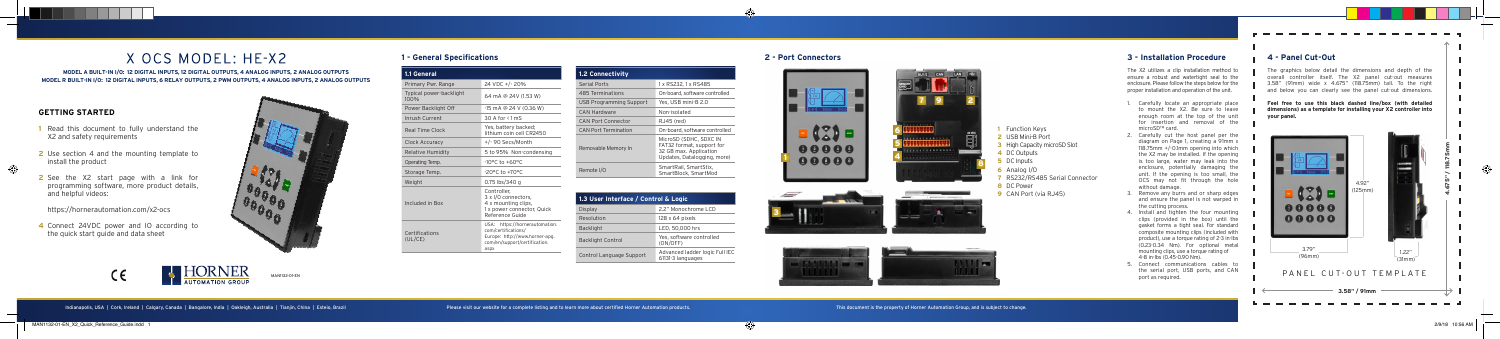# **GETTING STARTED**

- **1** Read this document to fully understand the X2 and safety requirements
- **2** Use section 4 and the mounting template to install the product

**2** See the X2 start page with a link for programming software, more product details, and helpful videos:

https://hornerautomation.com/x2-ocs

**4** Connect 24VDC power and IO according to the quick start guide and data sheet



# **2 - Port Connectors**





# **1 - General Specifications**

# X OCS MODEL: HE-X2

#### **MODEL A BUILT-IN I/O: 12 DIGITAL INPUTS, 12 DIGITAL OUTPUTS, 4 ANALOG INPUTS, 2 ANALOG OUTPUTS MODEL R BUILT-IN I/O: 12 DIGITAL INPUTS, 6 RELAY OUTPUTS, 2 PWM OUTPUTS, 4 ANALOG INPUTS, 2 ANALOG OUTPUTS**

MAN1132-01-EN

Indianapolis, USA | Cork, Ireland | Calgary, Canada | Bangalore, India | Oakleigh, Australia | Tianjin, China | Esteio, Brazil | Exteio, Brazil | Persevisit our website for a complete listing and to learn more about certif

**1** Function Keys **2** USB Mini-B Port

**4** DC Outputs **5** DC Inputs **6** Analog I/O

**7** RS232/RS485 Serial Connector





**8** DC Power

**3** High Capacity microSD Slot

**9** CAN Port (via RJ45)

- Carefully locate an appropriate place to mount the X2. Be sure to leave enough room at the top of the unit for insertion and removal of the microSD™ card.
- Carefully cut the host panel per the diagram on Page 1, creating a 91mm x 118.75mm +/-0.1mm opening into which the X2 may be installed. If the opening is too large, water may leak into the enclosure, potentially damaging the unit. If the opening is too small, the OCS may not fit through the hole without damage.
- 3. Remove any burrs and or sharp edges and ensure the panel is not warped in the cutting process.
- 4. Install and tighten the four mounting clips (provided in the box) until the gasket forms a tight seal. For standard composite mounting clips (included with product), use a torque rating of 2-3 in-lbs (0.23-0.34 Nm). For optional metal mounting clips, use a torque rating of 4-8 in-lbs (0.45-0.90 Nm).
- 5. Connect communications cables to the serial port, USB ports, and CAN port as required.

The X2 utilizes a clip installation method to ensure a robust and watertight seal to the enclosure. Please follow the steps below for the proper installation and operation of the unit.

# **3 - Installation Procedure 4 - Panel Cut-Out**

The graphics below detail the dimensions and depth of the overall controller itself. The X2 panel cut-out measures 3.58" (91mm) wide x 4.675" (118.75mm) tall. To the right and below you can clearly see the panel cut-out dimensions.

**Feel free to use this black dashed line/box (with detailed dimensions) as a template for installing your X2 controller into your panel.** 





| 1.1 General                     |                                                                                                                                  |
|---------------------------------|----------------------------------------------------------------------------------------------------------------------------------|
| Primary Pwr. Range              | 24 VDC +/- 20%                                                                                                                   |
| Typical power-backlight<br>100% | 64 mA @ 24V (1.53 W)                                                                                                             |
| Power Backlight Off             | -15 mA @ 24 V (0.36 W)                                                                                                           |
| Inrush Current                  | $30$ A for $\leq 1$ mS                                                                                                           |
| Real Time Clock                 | Yes, battery backed;<br>lithium coin cell CR2450                                                                                 |
| Clock Accuracy                  | +/-90 Secs/Month                                                                                                                 |
| Relative Humidity               | 5 to 95% Non-condensing                                                                                                          |
| Operating Temp.                 | $-10^{\circ}$ C to $+60^{\circ}$ C                                                                                               |
| Storage Temp.                   | $-20$ <sup>o</sup> C to $+70$ <sup>o</sup> C                                                                                     |
| Weight                          | 0.75 lbs/340 g                                                                                                                   |
| Included in Box                 | Controller.<br>3 x I/O connectors,<br>4 x mounting clips,<br>1 x power connector, Quick<br>Reference Guide                       |
| Certifications<br>(UL/CE)       | USA: https://hornerautomation.<br>com/certifications/<br>Europe: http://www.horner-apg.<br>com/en/support/certification.<br>aspx |

| <b>1.2 Connectivity</b>        |                                                                                                              |
|--------------------------------|--------------------------------------------------------------------------------------------------------------|
| <b>Serial Ports</b>            | 1 x RS232, 1 x RS485                                                                                         |
| 485 Terminations               | On-board, software controlled                                                                                |
| <b>USB Programming Support</b> | Yes, USB mini-B 2.0                                                                                          |
| CAN Hardware                   | Non-isolated                                                                                                 |
| CAN Port Connector             | RJ45 (red)                                                                                                   |
| <b>CAN Port Termination</b>    | On-board, software controlled                                                                                |
| Removable Memory In            | MicroSD (SDHC, SDXC IN<br>FAT32 format, support for<br>32 GB max. Application<br>Updates, Datalogging, more) |
| Remote I/O                     | SmartRail, SmartStix,<br>SmartBlock, SmartMod                                                                |

| 1.3 User Interface / Control & Logic |                                                     |
|--------------------------------------|-----------------------------------------------------|
| Display                              | 2.2" Monochrome LCD                                 |
| Resolution                           | $128 \times 64$ pixels                              |
| <b>Backlight</b>                     | LED, 50,000 hrs                                     |
| <b>Backlight Control</b>             | Yes, software controlled<br>(ON/OFF)                |
| Control Language Support             | Advanced ladder logic Full IEC<br>61131-3 languages |